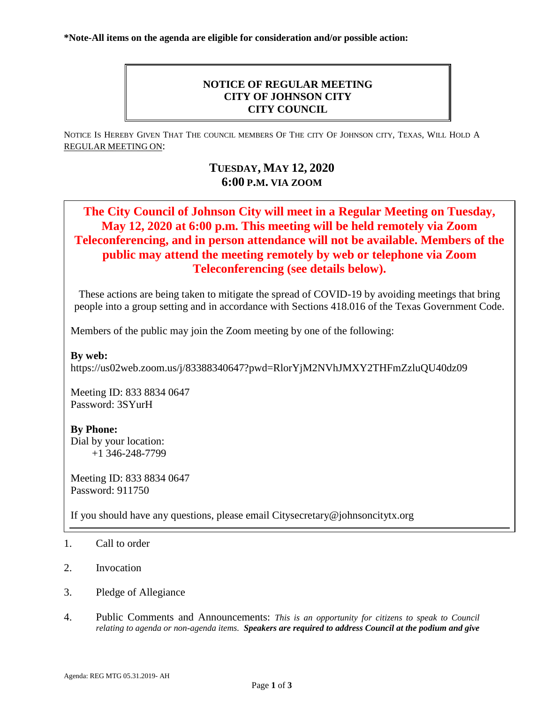## **NOTICE OF REGULAR MEETING CITY OF JOHNSON CITY CITY COUNCIL**

NOTICE IS HEREBY GIVEN THAT THE COUNCIL MEMBERS OF THE CITY OF JOHNSON CITY, TEXAS, WILL HOLD A REGULAR MEETING ON:

## **TUESDAY, MAY 12, 2020 6:00 P.M. VIA ZOOM**

# **The City Council of Johnson City will meet in a Regular Meeting on Tuesday, May 12, 2020 at 6:00 p.m. This meeting will be held remotely via Zoom Teleconferencing, and in person attendance will not be available. Members of the public may attend the meeting remotely by web or telephone via Zoom Teleconferencing (see details below).**

These actions are being taken to mitigate the spread of COVID-19 by avoiding meetings that bring people into a group setting and in accordance with Sections 418.016 of the Texas Government Code.

Members of the public may join the Zoom meeting by one of the following:

**By web:**

https://us02web.zoom.us/j/83388340647?pwd=RlorYjM2NVhJMXY2THFmZzluQU40dz09

Meeting ID: 833 8834 0647 Password: 3SYurH

### **By Phone:**

Dial by your location: +1 346-248-7799

Meeting ID: 833 8834 0647 Password: 911750

If you should have any questions, please email Citysecretary@johnsoncitytx.org

- 1. Call to order
- 2. Invocation
- 3. Pledge of Allegiance
- 4. Public Comments and Announcements: *This is an opportunity for citizens to speak to Council relating to agenda or non-agenda items. Speakers are required to address Council at the podium and give*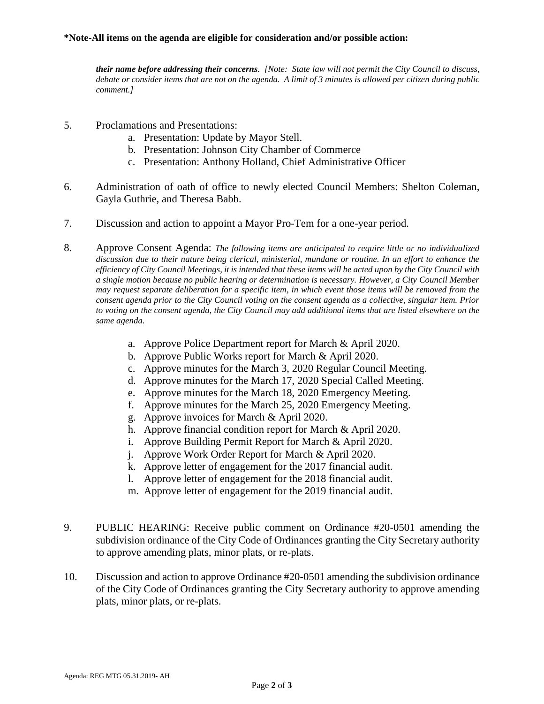#### **\*Note-All items on the agenda are eligible for consideration and/or possible action:**

*their name before addressing their concerns. [Note: State law will not permit the City Council to discuss, debate or consider items that are not on the agenda. A limit of 3 minutes is allowed per citizen during public comment.]*

- 5. Proclamations and Presentations:
	- a. Presentation: Update by Mayor Stell.
	- b. Presentation: Johnson City Chamber of Commerce
	- c. Presentation: Anthony Holland, Chief Administrative Officer
- 6. Administration of oath of office to newly elected Council Members: Shelton Coleman, Gayla Guthrie, and Theresa Babb.
- 7. Discussion and action to appoint a Mayor Pro-Tem for a one-year period.
- 8. Approve Consent Agenda: *The following items are anticipated to require little or no individualized discussion due to their nature being clerical, ministerial, mundane or routine. In an effort to enhance the efficiency of City Council Meetings, it is intended that these items will be acted upon by the City Council with a single motion because no public hearing or determination is necessary. However, a City Council Member may request separate deliberation for a specific item, in which event those items will be removed from the consent agenda prior to the City Council voting on the consent agenda as a collective, singular item. Prior to voting on the consent agenda, the City Council may add additional items that are listed elsewhere on the same agenda.*
	- a. Approve Police Department report for March & April 2020.
	- b. Approve Public Works report for March & April 2020.
	- c. Approve minutes for the March 3, 2020 Regular Council Meeting.
	- d. Approve minutes for the March 17, 2020 Special Called Meeting.
	- e. Approve minutes for the March 18, 2020 Emergency Meeting.
	- f. Approve minutes for the March 25, 2020 Emergency Meeting.
	- g. Approve invoices for March & April 2020.
	- h. Approve financial condition report for March & April 2020.
	- i. Approve Building Permit Report for March & April 2020.
	- j. Approve Work Order Report for March & April 2020.
	- k. Approve letter of engagement for the 2017 financial audit.
	- l. Approve letter of engagement for the 2018 financial audit.
	- m. Approve letter of engagement for the 2019 financial audit.
- 9. PUBLIC HEARING: Receive public comment on Ordinance #20-0501 amending the subdivision ordinance of the City Code of Ordinances granting the City Secretary authority to approve amending plats, minor plats, or re-plats.
- 10. Discussion and action to approve Ordinance #20-0501 amending the subdivision ordinance of the City Code of Ordinances granting the City Secretary authority to approve amending plats, minor plats, or re-plats.